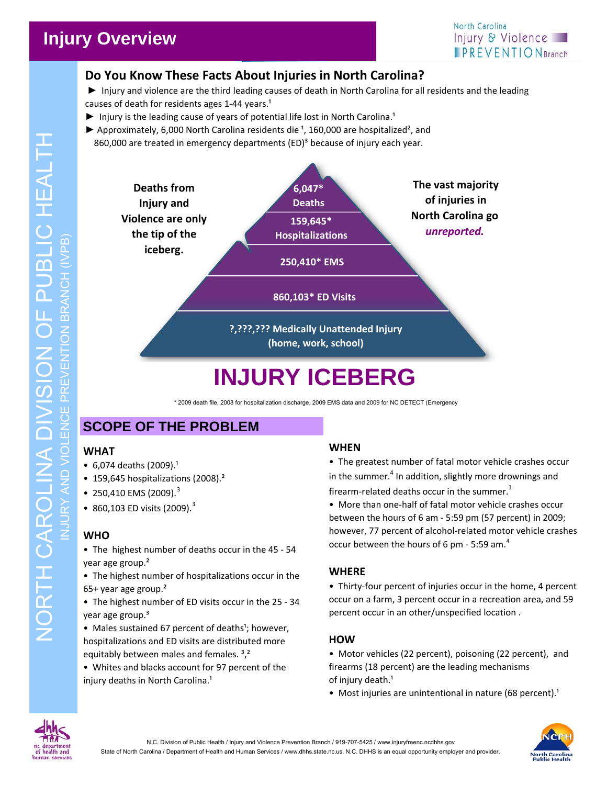# **Injury Overview**

## **Do You Know These Facts About Injuries in North Carolina?**

► Injury and violence are the third leading causes of death in North Carolina for all residents and the leading causes of death for residents ages 1-44 years.<sup>1</sup>

- $\blacktriangleright$  Injury is the leading cause of years of potential life lost in North Carolina.<sup>1</sup>
- ▶ Approximately, 6,000 North Carolina residents die  $\frac{1}{1}$ , 160,000 are hospitalized<sup>2</sup>, and 860,000 are treated in emergency departments (ED)<sup>3</sup> because of injury each year.



# **INJURY ICEBERG**

\* 2009 death file, 2008 for hospitalization discharge, 2009 EMS data and 2009 for NC DETECT (Emergency

# **SCOPE OF THE PROBLEM**

#### **WHAT**

- $6.074$  deaths (2009).<sup>1</sup>
- 159,645 hospitalizations (2008).<sup>2</sup>
- 250,410 EMS (2009).<sup>3</sup>
- 860,103 ED visits (2009).<sup>3</sup>

### **WHO**

- The highest number of deaths occur in the 45 54 year age group.²
- The highest number of hospitalizations occur in the 65+ year age group.²
- The highest number of ED visits occur in the 25 34 year age group.<sup>3</sup>
- Males sustained 67 percent of deaths<sup>1</sup>; however, hospitalizations and ED visits are distributed more equitably between males and females.<sup>3</sup>,<sup>2</sup>
- Whites and blacks account for 97 percent of the injury deaths in North Carolina.<sup>1</sup>

#### **WHEN**

• The greatest number of fatal motor vehicle crashes occur in the summer.<sup>4</sup> In addition, slightly more drownings and firearm-related deaths occur in the summer.<sup>1</sup>

• More than one-half of fatal motor vehicle crashes occur between the hours of 6 am ‐ 5:59 pm (57 percent) in 2009; however, 77 percent of alcohol-related motor vehicle crashes occur between the hours of 6 pm - 5:59 am.<sup>4</sup>

#### **WHERE**

• Thirty-four percent of injuries occur in the home, 4 percent occur on a farm, 3 percent occur in a recreation area, and 59 percent occur in an other/unspecified location .

#### **HOW**

• Motor vehicles (22 percent), poisoning (22 percent), and firearms (18 percent) are the leading mechanisms of injury death.<sup>1</sup>

• Most injuries are unintentional in nature (68 percent).<sup>1</sup>